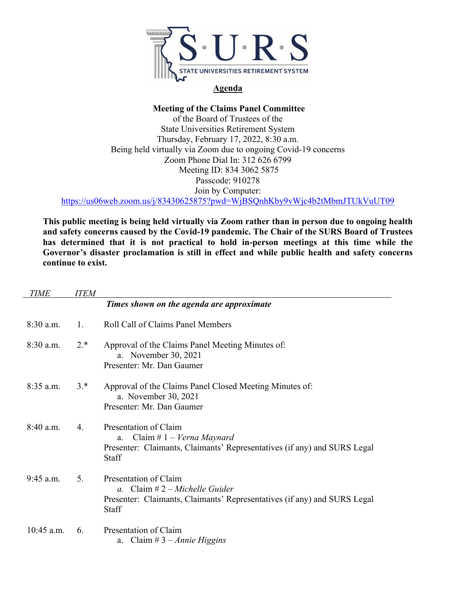

## **Agenda**

## **Meeting of the Claims Panel Committee**

of the Board of Trustees of the State Universities Retirement System Thursday, February 17, 2022, 8:30 a.m. Being held virtually via Zoom due to ongoing Covid-19 concerns Zoom Phone Dial In: 312 626 6799 Meeting ID: 834 3062 5875 Passcode: 910278 Join by Computer:

https://us06web.zoom.us/j/83430625875?pwd=WjBSQnhKby9vWjc4b2tMbmJTUkVuUT09

**This public meeting is being held virtually via Zoom rather than in person due to ongoing health and safety concerns caused by the Covid-19 pandemic. The Chair of the SURS Board of Trustees has determined that it is not practical to hold in-person meetings at this time while the Governor's disaster proclamation is still in effect and while public health and safety concerns continue to exist.** 

| <b>TIME</b>  | <i>ITEM</i> |                                                                                                                                                        |
|--------------|-------------|--------------------------------------------------------------------------------------------------------------------------------------------------------|
|              |             | Times shown on the agenda are approximate                                                                                                              |
| 8:30 a.m.    | 1.          | <b>Roll Call of Claims Panel Members</b>                                                                                                               |
| $8:30$ a.m.  | $2.*$       | Approval of the Claims Panel Meeting Minutes of:<br>a. November 30, 2021<br>Presenter: Mr. Dan Gaumer                                                  |
| $8:35$ a.m.  | $3.*$       | Approval of the Claims Panel Closed Meeting Minutes of:<br>a. November 30, 2021<br>Presenter: Mr. Dan Gaumer                                           |
| $8:40$ a.m.  | 4.          | Presentation of Claim<br>Claim # $1 - Verna$ Maynard<br>a.<br>Presenter: Claimants, Claimants' Representatives (if any) and SURS Legal<br>Staff        |
| 9:45 a.m.    | 5.          | Presentation of Claim<br>a. Claim $# 2 - Michaelle Guider$<br>Presenter: Claimants, Claimants' Representatives (if any) and SURS Legal<br><b>Staff</b> |
| $10:45$ a.m. | 6.          | Presentation of Claim<br>a. Claim # $3 - Annie Higgsins$                                                                                               |